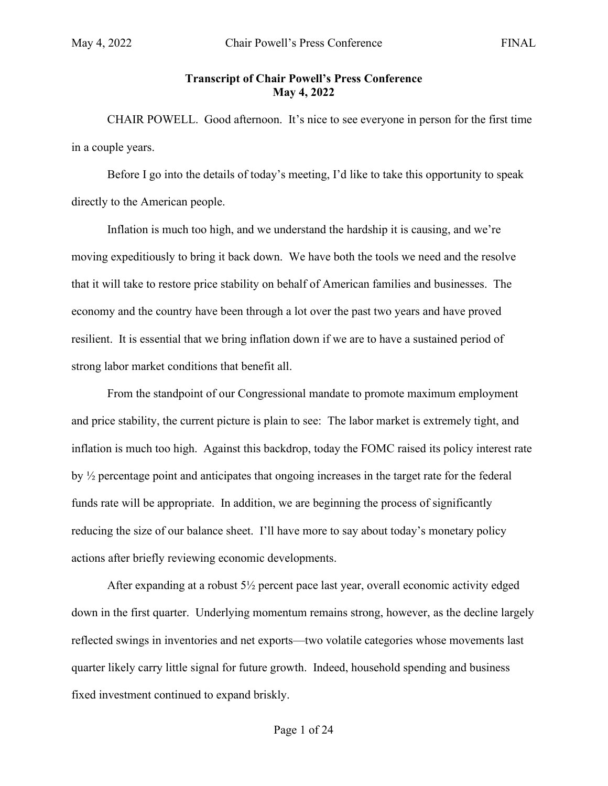# **Transcript of Chair Powell's Press Conference May 4, 2022**

CHAIR POWELL. Good afternoon. It's nice to see everyone in person for the first time in a couple years.

Before I go into the details of today's meeting, I'd like to take this opportunity to speak directly to the American people.

Inflation is much too high, and we understand the hardship it is causing, and we're moving expeditiously to bring it back down. We have both the tools we need and the resolve that it will take to restore price stability on behalf of American families and businesses. The economy and the country have been through a lot over the past two years and have proved resilient. It is essential that we bring inflation down if we are to have a sustained period of strong labor market conditions that benefit all.

From the standpoint of our Congressional mandate to promote maximum employment and price stability, the current picture is plain to see: The labor market is extremely tight, and inflation is much too high. Against this backdrop, today the FOMC raised its policy interest rate by ½ percentage point and anticipates that ongoing increases in the target rate for the federal funds rate will be appropriate. In addition, we are beginning the process of significantly reducing the size of our balance sheet. I'll have more to say about today's monetary policy actions after briefly reviewing economic developments.

After expanding at a robust 5½ percent pace last year, overall economic activity edged down in the first quarter. Underlying momentum remains strong, however, as the decline largely reflected swings in inventories and net exports—two volatile categories whose movements last quarter likely carry little signal for future growth. Indeed, household spending and business fixed investment continued to expand briskly.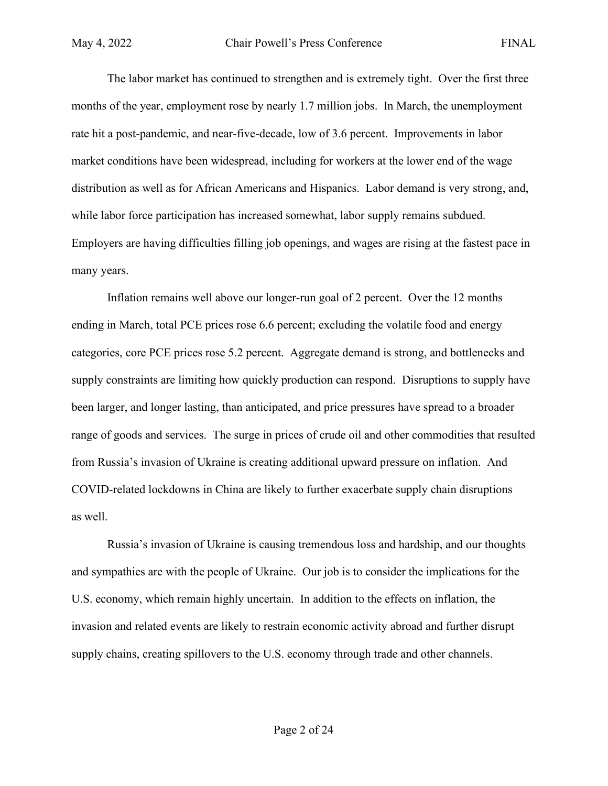The labor market has continued to strengthen and is extremely tight. Over the first three months of the year, employment rose by nearly 1.7 million jobs. In March, the unemployment rate hit a post-pandemic, and near-five-decade, low of 3.6 percent. Improvements in labor market conditions have been widespread, including for workers at the lower end of the wage distribution as well as for African Americans and Hispanics. Labor demand is very strong, and, while labor force participation has increased somewhat, labor supply remains subdued. Employers are having difficulties filling job openings, and wages are rising at the fastest pace in many years.

Inflation remains well above our longer-run goal of 2 percent. Over the 12 months ending in March, total PCE prices rose 6.6 percent; excluding the volatile food and energy categories, core PCE prices rose 5.2 percent. Aggregate demand is strong, and bottlenecks and supply constraints are limiting how quickly production can respond. Disruptions to supply have been larger, and longer lasting, than anticipated, and price pressures have spread to a broader range of goods and services. The surge in prices of crude oil and other commodities that resulted from Russia's invasion of Ukraine is creating additional upward pressure on inflation. And COVID-related lockdowns in China are likely to further exacerbate supply chain disruptions as well.

Russia's invasion of Ukraine is causing tremendous loss and hardship, and our thoughts and sympathies are with the people of Ukraine. Our job is to consider the implications for the U.S. economy, which remain highly uncertain. In addition to the effects on inflation, the invasion and related events are likely to restrain economic activity abroad and further disrupt supply chains, creating spillovers to the U.S. economy through trade and other channels.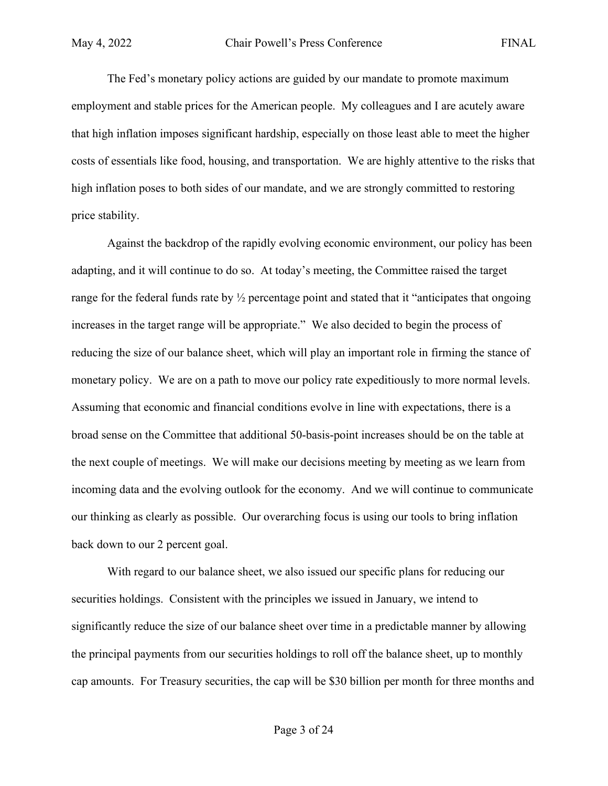The Fed's monetary policy actions are guided by our mandate to promote maximum employment and stable prices for the American people. My colleagues and I are acutely aware that high inflation imposes significant hardship, especially on those least able to meet the higher costs of essentials like food, housing, and transportation. We are highly attentive to the risks that high inflation poses to both sides of our mandate, and we are strongly committed to restoring price stability.

Against the backdrop of the rapidly evolving economic environment, our policy has been adapting, and it will continue to do so. At today's meeting, the Committee raised the target range for the federal funds rate by ½ percentage point and stated that it "anticipates that ongoing increases in the target range will be appropriate." We also decided to begin the process of reducing the size of our balance sheet, which will play an important role in firming the stance of monetary policy. We are on a path to move our policy rate expeditiously to more normal levels. Assuming that economic and financial conditions evolve in line with expectations, there is a broad sense on the Committee that additional 50-basis-point increases should be on the table at the next couple of meetings. We will make our decisions meeting by meeting as we learn from incoming data and the evolving outlook for the economy. And we will continue to communicate our thinking as clearly as possible. Our overarching focus is using our tools to bring inflation back down to our 2 percent goal.

With regard to our balance sheet, we also issued our specific plans for reducing our securities holdings. Consistent with the principles we issued in January, we intend to significantly reduce the size of our balance sheet over time in a predictable manner by allowing the principal payments from our securities holdings to roll off the balance sheet, up to monthly cap amounts. For Treasury securities, the cap will be \$30 billion per month for three months and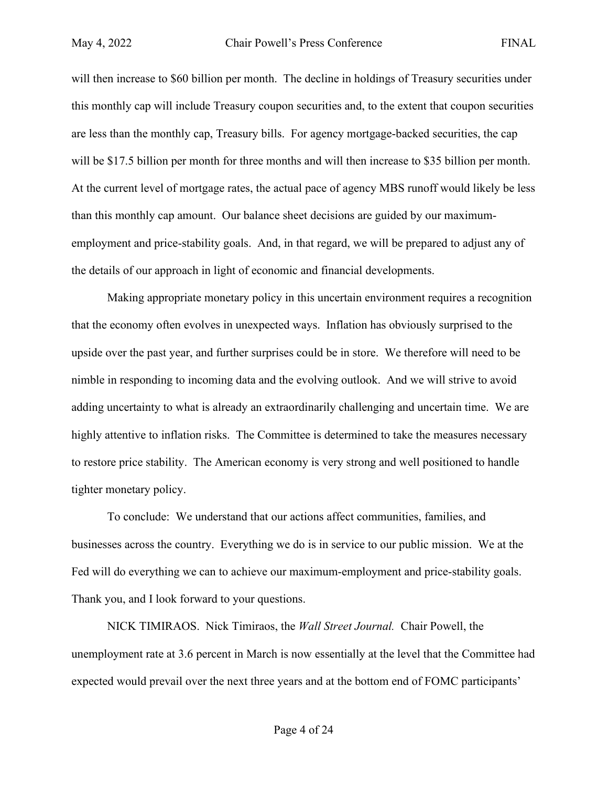will then increase to \$60 billion per month. The decline in holdings of Treasury securities under this monthly cap will include Treasury coupon securities and, to the extent that coupon securities are less than the monthly cap, Treasury bills. For agency mortgage-backed securities, the cap will be \$17.5 billion per month for three months and will then increase to \$35 billion per month. At the current level of mortgage rates, the actual pace of agency MBS runoff would likely be less than this monthly cap amount. Our balance sheet decisions are guided by our maximumemployment and price-stability goals. And, in that regard, we will be prepared to adjust any of the details of our approach in light of economic and financial developments.

Making appropriate monetary policy in this uncertain environment requires a recognition that the economy often evolves in unexpected ways. Inflation has obviously surprised to the upside over the past year, and further surprises could be in store. We therefore will need to be nimble in responding to incoming data and the evolving outlook. And we will strive to avoid adding uncertainty to what is already an extraordinarily challenging and uncertain time. We are highly attentive to inflation risks. The Committee is determined to take the measures necessary to restore price stability. The American economy is very strong and well positioned to handle tighter monetary policy.

To conclude: We understand that our actions affect communities, families, and businesses across the country. Everything we do is in service to our public mission. We at the Fed will do everything we can to achieve our maximum-employment and price-stability goals. Thank you, and I look forward to your questions.

NICK TIMIRAOS. Nick Timiraos, the *Wall Street Journal.* Chair Powell, the unemployment rate at 3.6 percent in March is now essentially at the level that the Committee had expected would prevail over the next three years and at the bottom end of FOMC participants'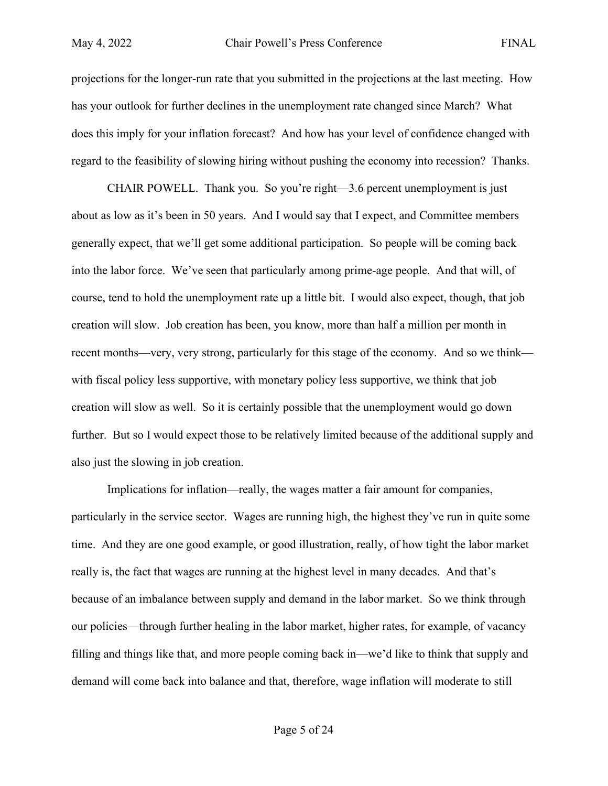projections for the longer-run rate that you submitted in the projections at the last meeting. How has your outlook for further declines in the unemployment rate changed since March? What does this imply for your inflation forecast? And how has your level of confidence changed with regard to the feasibility of slowing hiring without pushing the economy into recession? Thanks.

CHAIR POWELL. Thank you. So you're right—3.6 percent unemployment is just about as low as it's been in 50 years. And I would say that I expect, and Committee members generally expect, that we'll get some additional participation. So people will be coming back into the labor force. We've seen that particularly among prime-age people. And that will, of course, tend to hold the unemployment rate up a little bit. I would also expect, though, that job creation will slow. Job creation has been, you know, more than half a million per month in recent months—very, very strong, particularly for this stage of the economy. And so we think with fiscal policy less supportive, with monetary policy less supportive, we think that job creation will slow as well. So it is certainly possible that the unemployment would go down further. But so I would expect those to be relatively limited because of the additional supply and also just the slowing in job creation.

Implications for inflation—really, the wages matter a fair amount for companies, particularly in the service sector. Wages are running high, the highest they've run in quite some time. And they are one good example, or good illustration, really, of how tight the labor market really is, the fact that wages are running at the highest level in many decades. And that's because of an imbalance between supply and demand in the labor market. So we think through our policies—through further healing in the labor market, higher rates, for example, of vacancy filling and things like that, and more people coming back in—we'd like to think that supply and demand will come back into balance and that, therefore, wage inflation will moderate to still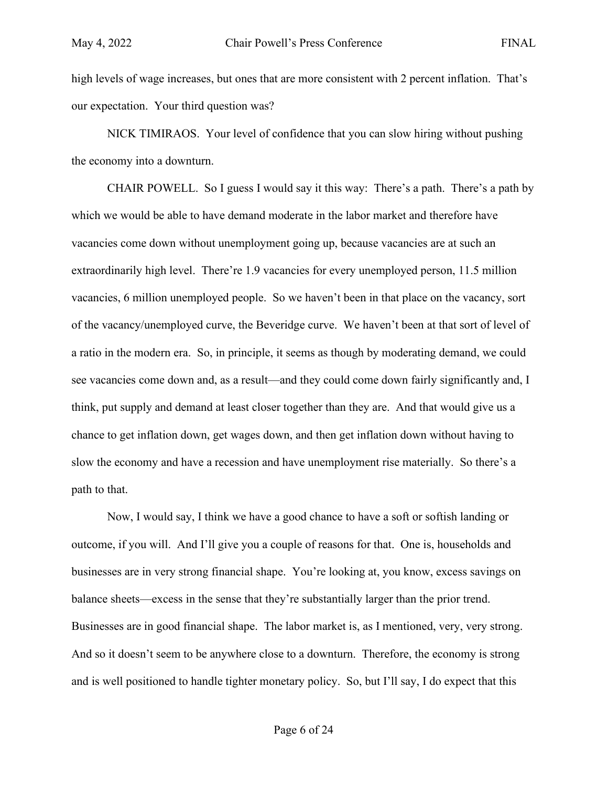high levels of wage increases, but ones that are more consistent with 2 percent inflation. That's our expectation. Your third question was?

NICK TIMIRAOS. Your level of confidence that you can slow hiring without pushing the economy into a downturn.

CHAIR POWELL. So I guess I would say it this way: There's a path. There's a path by which we would be able to have demand moderate in the labor market and therefore have vacancies come down without unemployment going up, because vacancies are at such an extraordinarily high level. There're 1.9 vacancies for every unemployed person, 11.5 million vacancies, 6 million unemployed people. So we haven't been in that place on the vacancy, sort of the vacancy/unemployed curve, the Beveridge curve. We haven't been at that sort of level of a ratio in the modern era. So, in principle, it seems as though by moderating demand, we could see vacancies come down and, as a result—and they could come down fairly significantly and, I think, put supply and demand at least closer together than they are. And that would give us a chance to get inflation down, get wages down, and then get inflation down without having to slow the economy and have a recession and have unemployment rise materially. So there's a path to that.

Now, I would say, I think we have a good chance to have a soft or softish landing or outcome, if you will. And I'll give you a couple of reasons for that. One is, households and businesses are in very strong financial shape. You're looking at, you know, excess savings on balance sheets—excess in the sense that they're substantially larger than the prior trend. Businesses are in good financial shape. The labor market is, as I mentioned, very, very strong. And so it doesn't seem to be anywhere close to a downturn. Therefore, the economy is strong and is well positioned to handle tighter monetary policy. So, but I'll say, I do expect that this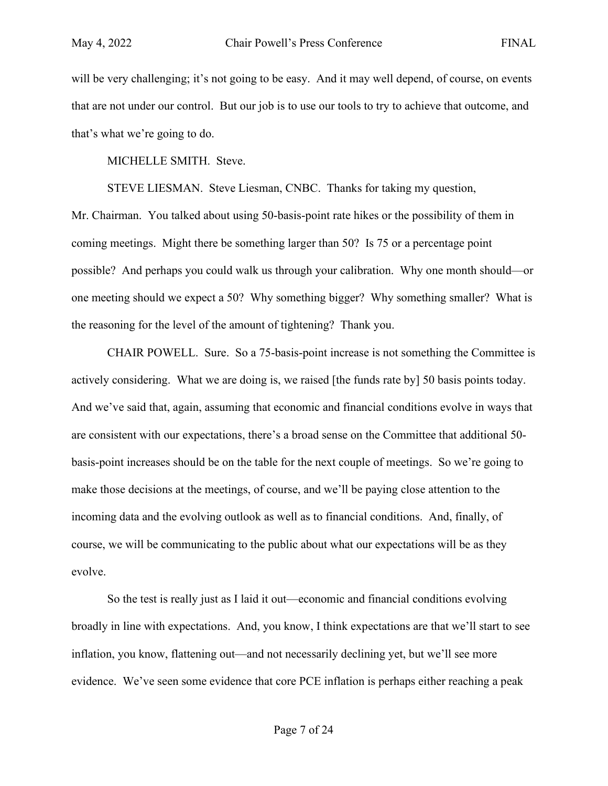will be very challenging; it's not going to be easy. And it may well depend, of course, on events that are not under our control. But our job is to use our tools to try to achieve that outcome, and that's what we're going to do.

MICHELLE SMITH. Steve.

STEVE LIESMAN. Steve Liesman, CNBC. Thanks for taking my question,

Mr. Chairman. You talked about using 50-basis-point rate hikes or the possibility of them in coming meetings. Might there be something larger than 50? Is 75 or a percentage point possible? And perhaps you could walk us through your calibration. Why one month should—or one meeting should we expect a 50? Why something bigger? Why something smaller? What is the reasoning for the level of the amount of tightening? Thank you.

CHAIR POWELL. Sure. So a 75-basis-point increase is not something the Committee is actively considering. What we are doing is, we raised [the funds rate by] 50 basis points today. And we've said that, again, assuming that economic and financial conditions evolve in ways that are consistent with our expectations, there's a broad sense on the Committee that additional 50 basis-point increases should be on the table for the next couple of meetings. So we're going to make those decisions at the meetings, of course, and we'll be paying close attention to the incoming data and the evolving outlook as well as to financial conditions. And, finally, of course, we will be communicating to the public about what our expectations will be as they evolve.

So the test is really just as I laid it out—economic and financial conditions evolving broadly in line with expectations. And, you know, I think expectations are that we'll start to see inflation, you know, flattening out—and not necessarily declining yet, but we'll see more evidence. We've seen some evidence that core PCE inflation is perhaps either reaching a peak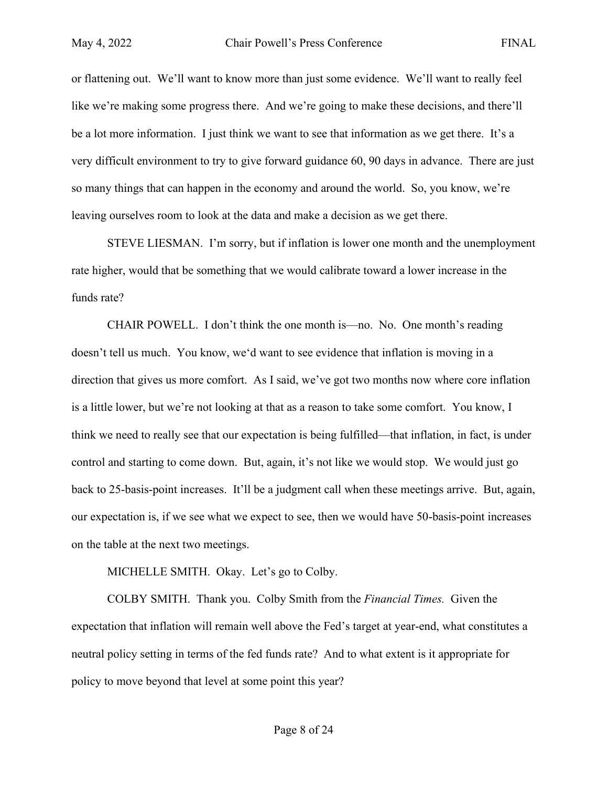or flattening out. We'll want to know more than just some evidence. We'll want to really feel like we're making some progress there. And we're going to make these decisions, and there'll be a lot more information. I just think we want to see that information as we get there. It's a very difficult environment to try to give forward guidance 60, 90 days in advance. There are just so many things that can happen in the economy and around the world. So, you know, we're leaving ourselves room to look at the data and make a decision as we get there.

STEVE LIESMAN. I'm sorry, but if inflation is lower one month and the unemployment rate higher, would that be something that we would calibrate toward a lower increase in the funds rate?

CHAIR POWELL. I don't think the one month is—no. No. One month's reading doesn't tell us much. You know, we'd want to see evidence that inflation is moving in a direction that gives us more comfort. As I said, we've got two months now where core inflation is a little lower, but we're not looking at that as a reason to take some comfort. You know, I think we need to really see that our expectation is being fulfilled—that inflation, in fact, is under control and starting to come down. But, again, it's not like we would stop. We would just go back to 25-basis-point increases. It'll be a judgment call when these meetings arrive. But, again, our expectation is, if we see what we expect to see, then we would have 50-basis-point increases on the table at the next two meetings.

MICHELLE SMITH. Okay. Let's go to Colby.

COLBY SMITH. Thank you. Colby Smith from the *Financial Times.* Given the expectation that inflation will remain well above the Fed's target at year-end, what constitutes a neutral policy setting in terms of the fed funds rate? And to what extent is it appropriate for policy to move beyond that level at some point this year?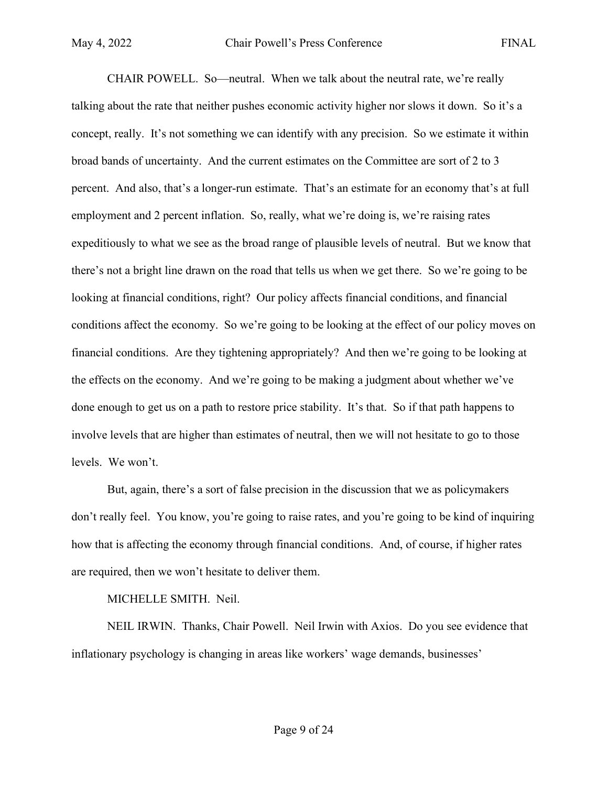CHAIR POWELL. So—neutral. When we talk about the neutral rate, we're really talking about the rate that neither pushes economic activity higher nor slows it down. So it's a concept, really. It's not something we can identify with any precision. So we estimate it within broad bands of uncertainty. And the current estimates on the Committee are sort of 2 to 3 percent. And also, that's a longer-run estimate. That's an estimate for an economy that's at full employment and 2 percent inflation. So, really, what we're doing is, we're raising rates expeditiously to what we see as the broad range of plausible levels of neutral. But we know that there's not a bright line drawn on the road that tells us when we get there. So we're going to be looking at financial conditions, right? Our policy affects financial conditions, and financial conditions affect the economy. So we're going to be looking at the effect of our policy moves on financial conditions. Are they tightening appropriately? And then we're going to be looking at the effects on the economy. And we're going to be making a judgment about whether we've done enough to get us on a path to restore price stability. It's that. So if that path happens to involve levels that are higher than estimates of neutral, then we will not hesitate to go to those levels. We won't.

But, again, there's a sort of false precision in the discussion that we as policymakers don't really feel. You know, you're going to raise rates, and you're going to be kind of inquiring how that is affecting the economy through financial conditions. And, of course, if higher rates are required, then we won't hesitate to deliver them.

## MICHELLE SMITH. Neil.

NEIL IRWIN. Thanks, Chair Powell. Neil Irwin with Axios. Do you see evidence that inflationary psychology is changing in areas like workers' wage demands, businesses'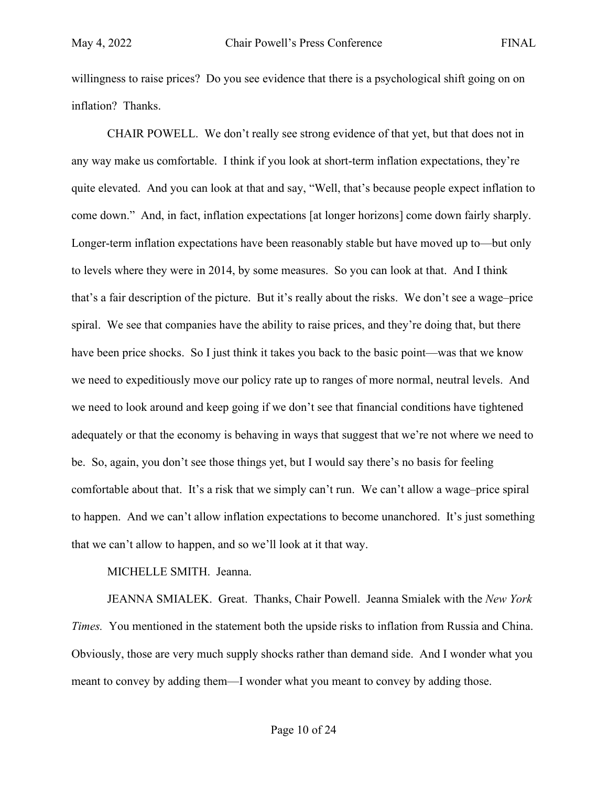willingness to raise prices? Do you see evidence that there is a psychological shift going on on inflation? Thanks.

CHAIR POWELL. We don't really see strong evidence of that yet, but that does not in any way make us comfortable. I think if you look at short-term inflation expectations, they're quite elevated. And you can look at that and say, "Well, that's because people expect inflation to come down." And, in fact, inflation expectations [at longer horizons] come down fairly sharply. Longer-term inflation expectations have been reasonably stable but have moved up to—but only to levels where they were in 2014, by some measures. So you can look at that. And I think that's a fair description of the picture. But it's really about the risks. We don't see a wage–price spiral. We see that companies have the ability to raise prices, and they're doing that, but there have been price shocks. So I just think it takes you back to the basic point—was that we know we need to expeditiously move our policy rate up to ranges of more normal, neutral levels. And we need to look around and keep going if we don't see that financial conditions have tightened adequately or that the economy is behaving in ways that suggest that we're not where we need to be. So, again, you don't see those things yet, but I would say there's no basis for feeling comfortable about that. It's a risk that we simply can't run. We can't allow a wage–price spiral to happen. And we can't allow inflation expectations to become unanchored. It's just something that we can't allow to happen, and so we'll look at it that way.

## MICHELLE SMITH. Jeanna.

JEANNA SMIALEK. Great. Thanks, Chair Powell. Jeanna Smialek with the *New York Times.* You mentioned in the statement both the upside risks to inflation from Russia and China. Obviously, those are very much supply shocks rather than demand side. And I wonder what you meant to convey by adding them—I wonder what you meant to convey by adding those.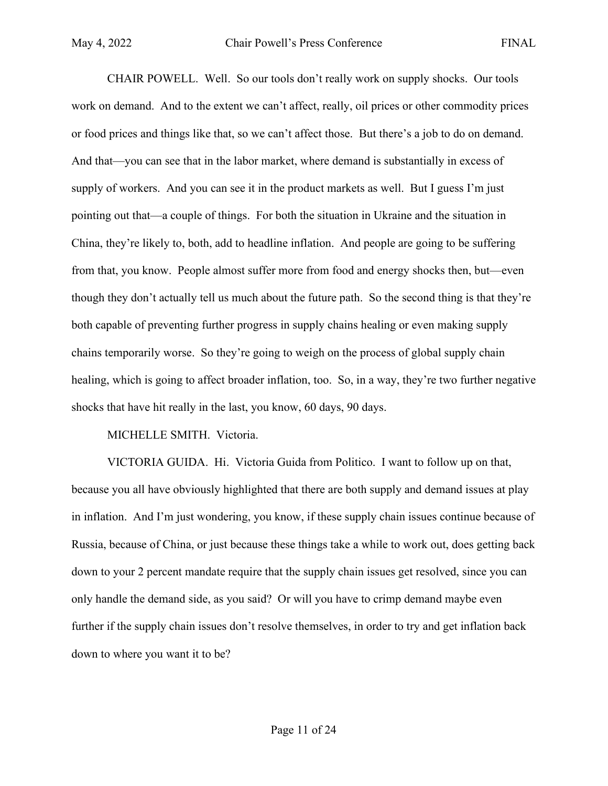CHAIR POWELL. Well. So our tools don't really work on supply shocks. Our tools work on demand. And to the extent we can't affect, really, oil prices or other commodity prices or food prices and things like that, so we can't affect those. But there's a job to do on demand. And that—you can see that in the labor market, where demand is substantially in excess of supply of workers. And you can see it in the product markets as well. But I guess I'm just pointing out that—a couple of things. For both the situation in Ukraine and the situation in China, they're likely to, both, add to headline inflation. And people are going to be suffering from that, you know. People almost suffer more from food and energy shocks then, but—even though they don't actually tell us much about the future path. So the second thing is that they're both capable of preventing further progress in supply chains healing or even making supply chains temporarily worse. So they're going to weigh on the process of global supply chain healing, which is going to affect broader inflation, too. So, in a way, they're two further negative shocks that have hit really in the last, you know, 60 days, 90 days.

MICHELLE SMITH. Victoria.

VICTORIA GUIDA. Hi. Victoria Guida from Politico. I want to follow up on that, because you all have obviously highlighted that there are both supply and demand issues at play in inflation. And I'm just wondering, you know, if these supply chain issues continue because of Russia, because of China, or just because these things take a while to work out, does getting back down to your 2 percent mandate require that the supply chain issues get resolved, since you can only handle the demand side, as you said? Or will you have to crimp demand maybe even further if the supply chain issues don't resolve themselves, in order to try and get inflation back down to where you want it to be?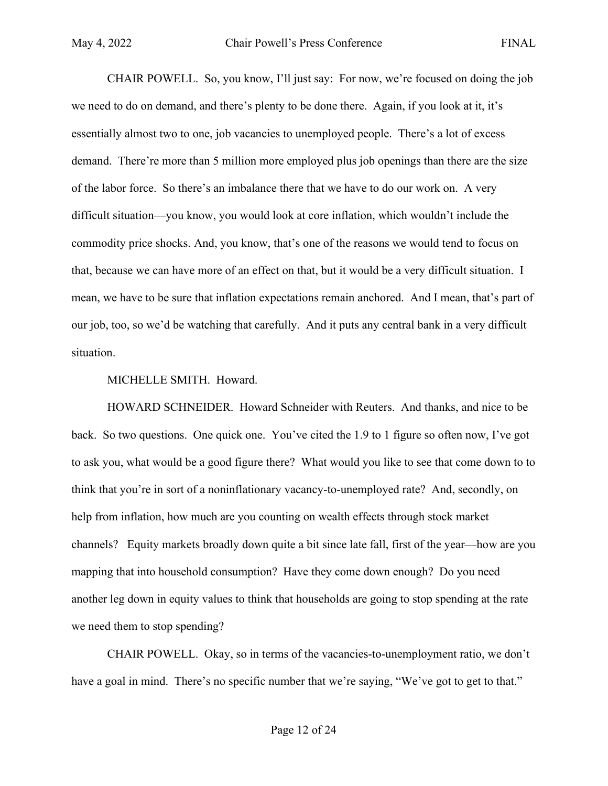CHAIR POWELL. So, you know, I'll just say: For now, we're focused on doing the job we need to do on demand, and there's plenty to be done there. Again, if you look at it, it's essentially almost two to one, job vacancies to unemployed people. There's a lot of excess demand. There're more than 5 million more employed plus job openings than there are the size of the labor force. So there's an imbalance there that we have to do our work on. A very difficult situation—you know, you would look at core inflation, which wouldn't include the commodity price shocks. And, you know, that's one of the reasons we would tend to focus on that, because we can have more of an effect on that, but it would be a very difficult situation. I mean, we have to be sure that inflation expectations remain anchored. And I mean, that's part of our job, too, so we'd be watching that carefully. And it puts any central bank in a very difficult situation.

MICHELLE SMITH. Howard.

HOWARD SCHNEIDER. Howard Schneider with Reuters. And thanks, and nice to be back. So two questions. One quick one. You've cited the 1.9 to 1 figure so often now, I've got to ask you, what would be a good figure there? What would you like to see that come down to to think that you're in sort of a noninflationary vacancy-to-unemployed rate? And, secondly, on help from inflation, how much are you counting on wealth effects through stock market channels? Equity markets broadly down quite a bit since late fall, first of the year—how are you mapping that into household consumption? Have they come down enough? Do you need another leg down in equity values to think that households are going to stop spending at the rate we need them to stop spending?

CHAIR POWELL. Okay, so in terms of the vacancies-to-unemployment ratio, we don't have a goal in mind. There's no specific number that we're saying, "We've got to get to that."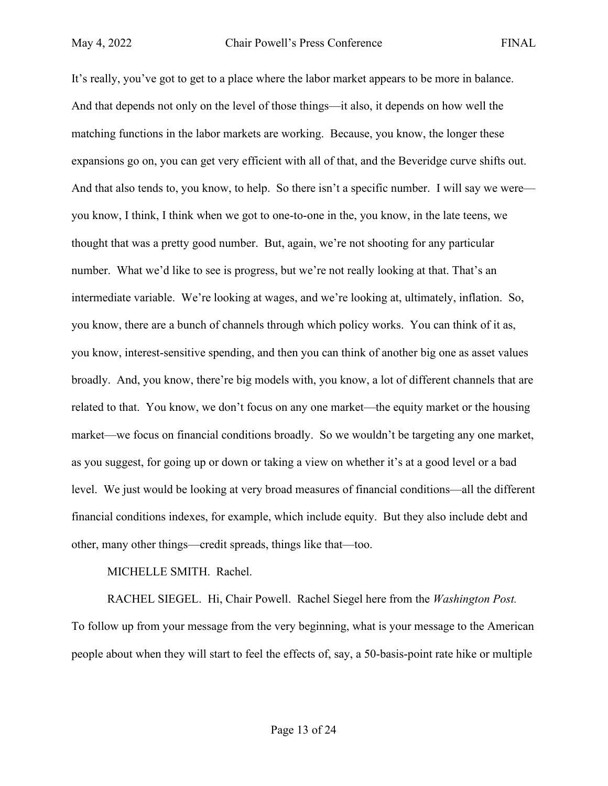It's really, you've got to get to a place where the labor market appears to be more in balance. And that depends not only on the level of those things—it also, it depends on how well the matching functions in the labor markets are working. Because, you know, the longer these expansions go on, you can get very efficient with all of that, and the Beveridge curve shifts out. And that also tends to, you know, to help. So there isn't a specific number. I will say we were you know, I think, I think when we got to one-to-one in the, you know, in the late teens, we thought that was a pretty good number. But, again, we're not shooting for any particular number. What we'd like to see is progress, but we're not really looking at that. That's an intermediate variable. We're looking at wages, and we're looking at, ultimately, inflation. So, you know, there are a bunch of channels through which policy works. You can think of it as, you know, interest-sensitive spending, and then you can think of another big one as asset values broadly. And, you know, there're big models with, you know, a lot of different channels that are related to that. You know, we don't focus on any one market—the equity market or the housing market—we focus on financial conditions broadly. So we wouldn't be targeting any one market, as you suggest, for going up or down or taking a view on whether it's at a good level or a bad level. We just would be looking at very broad measures of financial conditions—all the different financial conditions indexes, for example, which include equity. But they also include debt and other, many other things—credit spreads, things like that—too.

## MICHELLE SMITH. Rachel.

RACHEL SIEGEL. Hi, Chair Powell. Rachel Siegel here from the *Washington Post.* To follow up from your message from the very beginning, what is your message to the American people about when they will start to feel the effects of, say, a 50-basis-point rate hike or multiple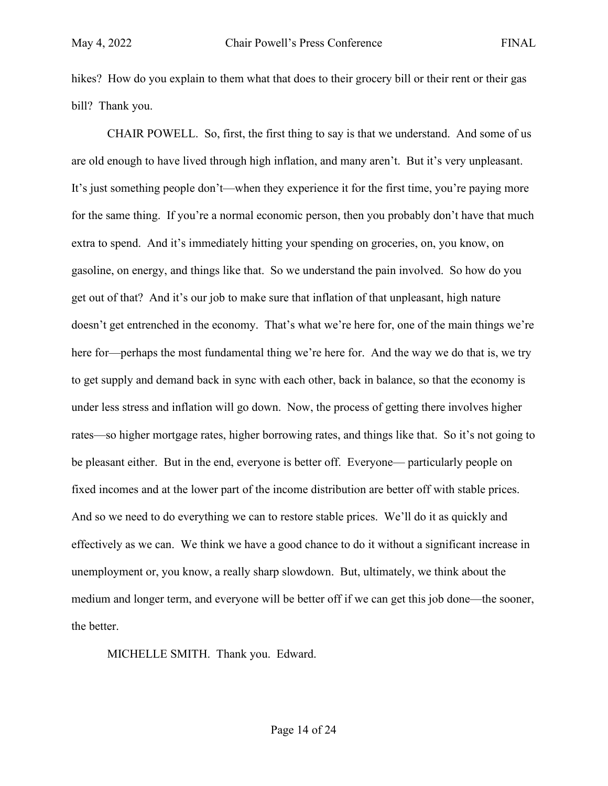hikes? How do you explain to them what that does to their grocery bill or their rent or their gas bill? Thank you.

CHAIR POWELL. So, first, the first thing to say is that we understand. And some of us are old enough to have lived through high inflation, and many aren't. But it's very unpleasant. It's just something people don't—when they experience it for the first time, you're paying more for the same thing. If you're a normal economic person, then you probably don't have that much extra to spend. And it's immediately hitting your spending on groceries, on, you know, on gasoline, on energy, and things like that. So we understand the pain involved. So how do you get out of that? And it's our job to make sure that inflation of that unpleasant, high nature doesn't get entrenched in the economy. That's what we're here for, one of the main things we're here for—perhaps the most fundamental thing we're here for. And the way we do that is, we try to get supply and demand back in sync with each other, back in balance, so that the economy is under less stress and inflation will go down. Now, the process of getting there involves higher rates—so higher mortgage rates, higher borrowing rates, and things like that. So it's not going to be pleasant either. But in the end, everyone is better off. Everyone— particularly people on fixed incomes and at the lower part of the income distribution are better off with stable prices. And so we need to do everything we can to restore stable prices. We'll do it as quickly and effectively as we can. We think we have a good chance to do it without a significant increase in unemployment or, you know, a really sharp slowdown. But, ultimately, we think about the medium and longer term, and everyone will be better off if we can get this job done—the sooner, the better.

MICHELLE SMITH. Thank you. Edward.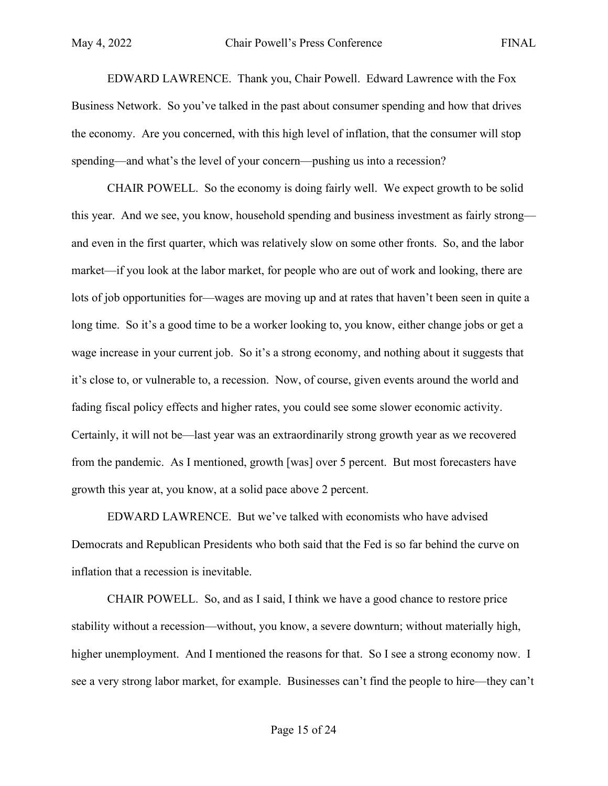EDWARD LAWRENCE. Thank you, Chair Powell. Edward Lawrence with the Fox Business Network. So you've talked in the past about consumer spending and how that drives the economy. Are you concerned, with this high level of inflation, that the consumer will stop spending—and what's the level of your concern—pushing us into a recession?

CHAIR POWELL. So the economy is doing fairly well. We expect growth to be solid this year. And we see, you know, household spending and business investment as fairly strong and even in the first quarter, which was relatively slow on some other fronts. So, and the labor market—if you look at the labor market, for people who are out of work and looking, there are lots of job opportunities for—wages are moving up and at rates that haven't been seen in quite a long time. So it's a good time to be a worker looking to, you know, either change jobs or get a wage increase in your current job. So it's a strong economy, and nothing about it suggests that it's close to, or vulnerable to, a recession. Now, of course, given events around the world and fading fiscal policy effects and higher rates, you could see some slower economic activity. Certainly, it will not be—last year was an extraordinarily strong growth year as we recovered from the pandemic. As I mentioned, growth [was] over 5 percent. But most forecasters have growth this year at, you know, at a solid pace above 2 percent.

EDWARD LAWRENCE. But we've talked with economists who have advised Democrats and Republican Presidents who both said that the Fed is so far behind the curve on inflation that a recession is inevitable.

CHAIR POWELL. So, and as I said, I think we have a good chance to restore price stability without a recession—without, you know, a severe downturn; without materially high, higher unemployment. And I mentioned the reasons for that. So I see a strong economy now. I see a very strong labor market, for example. Businesses can't find the people to hire—they can't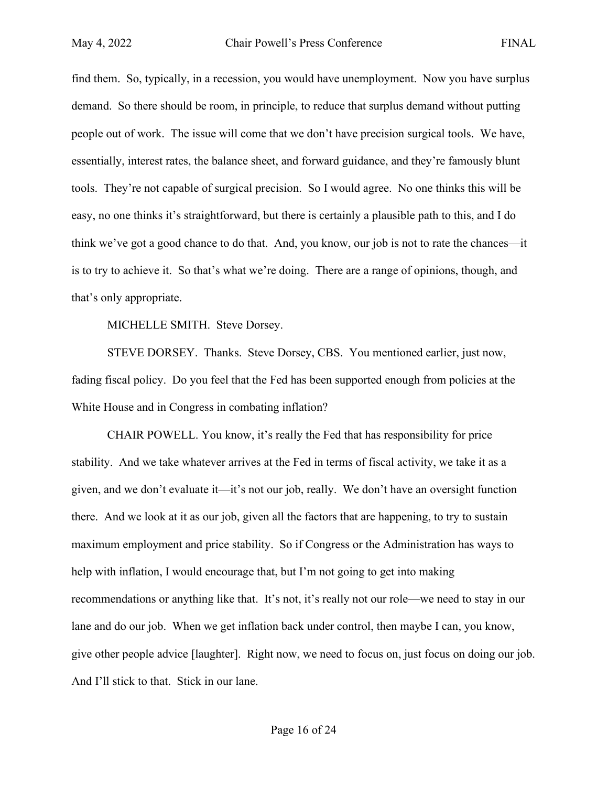find them. So, typically, in a recession, you would have unemployment. Now you have surplus demand. So there should be room, in principle, to reduce that surplus demand without putting people out of work. The issue will come that we don't have precision surgical tools. We have, essentially, interest rates, the balance sheet, and forward guidance, and they're famously blunt tools. They're not capable of surgical precision. So I would agree. No one thinks this will be easy, no one thinks it's straightforward, but there is certainly a plausible path to this, and I do think we've got a good chance to do that. And, you know, our job is not to rate the chances—it is to try to achieve it. So that's what we're doing. There are a range of opinions, though, and that's only appropriate.

MICHELLE SMITH. Steve Dorsey.

STEVE DORSEY. Thanks. Steve Dorsey, CBS. You mentioned earlier, just now, fading fiscal policy. Do you feel that the Fed has been supported enough from policies at the White House and in Congress in combating inflation?

CHAIR POWELL. You know, it's really the Fed that has responsibility for price stability. And we take whatever arrives at the Fed in terms of fiscal activity, we take it as a given, and we don't evaluate it—it's not our job, really. We don't have an oversight function there. And we look at it as our job, given all the factors that are happening, to try to sustain maximum employment and price stability. So if Congress or the Administration has ways to help with inflation, I would encourage that, but I'm not going to get into making recommendations or anything like that. It's not, it's really not our role—we need to stay in our lane and do our job. When we get inflation back under control, then maybe I can, you know, give other people advice [laughter]. Right now, we need to focus on, just focus on doing our job. And I'll stick to that. Stick in our lane.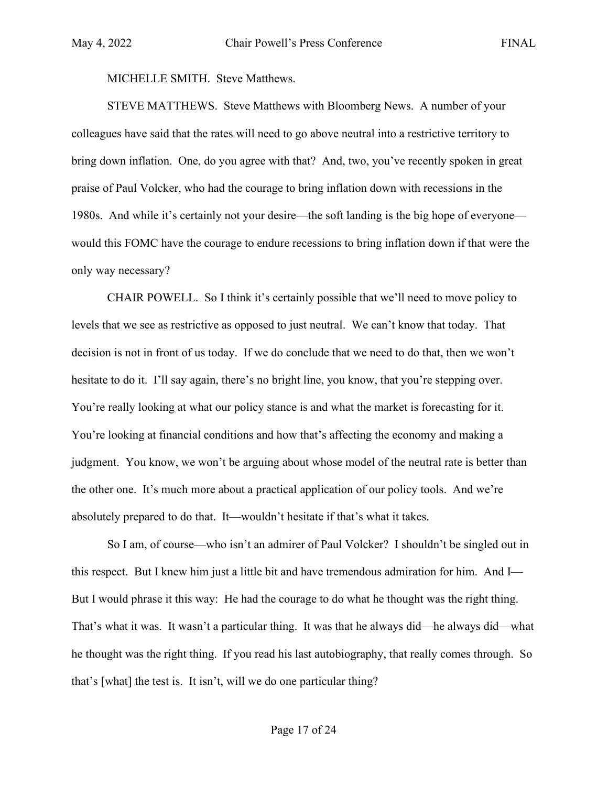MICHELLE SMITH. Steve Matthews.

STEVE MATTHEWS. Steve Matthews with Bloomberg News. A number of your colleagues have said that the rates will need to go above neutral into a restrictive territory to bring down inflation. One, do you agree with that? And, two, you've recently spoken in great praise of Paul Volcker, who had the courage to bring inflation down with recessions in the 1980s. And while it's certainly not your desire—the soft landing is the big hope of everyone would this FOMC have the courage to endure recessions to bring inflation down if that were the only way necessary?

CHAIR POWELL. So I think it's certainly possible that we'll need to move policy to levels that we see as restrictive as opposed to just neutral. We can't know that today. That decision is not in front of us today. If we do conclude that we need to do that, then we won't hesitate to do it. I'll say again, there's no bright line, you know, that you're stepping over. You're really looking at what our policy stance is and what the market is forecasting for it. You're looking at financial conditions and how that's affecting the economy and making a judgment. You know, we won't be arguing about whose model of the neutral rate is better than the other one. It's much more about a practical application of our policy tools. And we're absolutely prepared to do that. It—wouldn't hesitate if that's what it takes.

So I am, of course—who isn't an admirer of Paul Volcker? I shouldn't be singled out in this respect. But I knew him just a little bit and have tremendous admiration for him. And I— But I would phrase it this way: He had the courage to do what he thought was the right thing. That's what it was. It wasn't a particular thing. It was that he always did—he always did—what he thought was the right thing. If you read his last autobiography, that really comes through. So that's [what] the test is. It isn't, will we do one particular thing?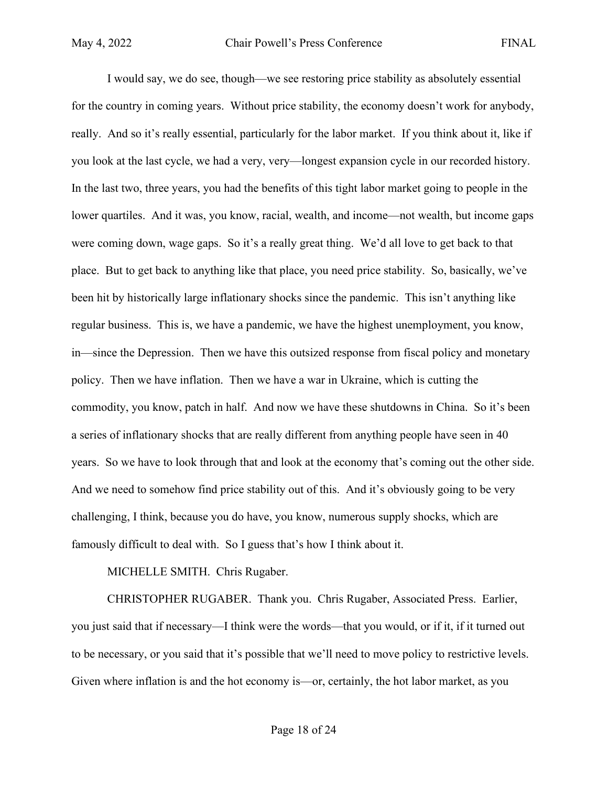I would say, we do see, though—we see restoring price stability as absolutely essential for the country in coming years. Without price stability, the economy doesn't work for anybody, really. And so it's really essential, particularly for the labor market. If you think about it, like if you look at the last cycle, we had a very, very—longest expansion cycle in our recorded history. In the last two, three years, you had the benefits of this tight labor market going to people in the lower quartiles. And it was, you know, racial, wealth, and income—not wealth, but income gaps were coming down, wage gaps. So it's a really great thing. We'd all love to get back to that place. But to get back to anything like that place, you need price stability. So, basically, we've been hit by historically large inflationary shocks since the pandemic. This isn't anything like regular business. This is, we have a pandemic, we have the highest unemployment, you know, in—since the Depression. Then we have this outsized response from fiscal policy and monetary policy. Then we have inflation. Then we have a war in Ukraine, which is cutting the commodity, you know, patch in half. And now we have these shutdowns in China. So it's been a series of inflationary shocks that are really different from anything people have seen in 40 years. So we have to look through that and look at the economy that's coming out the other side. And we need to somehow find price stability out of this. And it's obviously going to be very challenging, I think, because you do have, you know, numerous supply shocks, which are famously difficult to deal with. So I guess that's how I think about it.

#### MICHELLE SMITH. Chris Rugaber.

CHRISTOPHER RUGABER. Thank you. Chris Rugaber, Associated Press. Earlier, you just said that if necessary—I think were the words—that you would, or if it, if it turned out to be necessary, or you said that it's possible that we'll need to move policy to restrictive levels. Given where inflation is and the hot economy is—or, certainly, the hot labor market, as you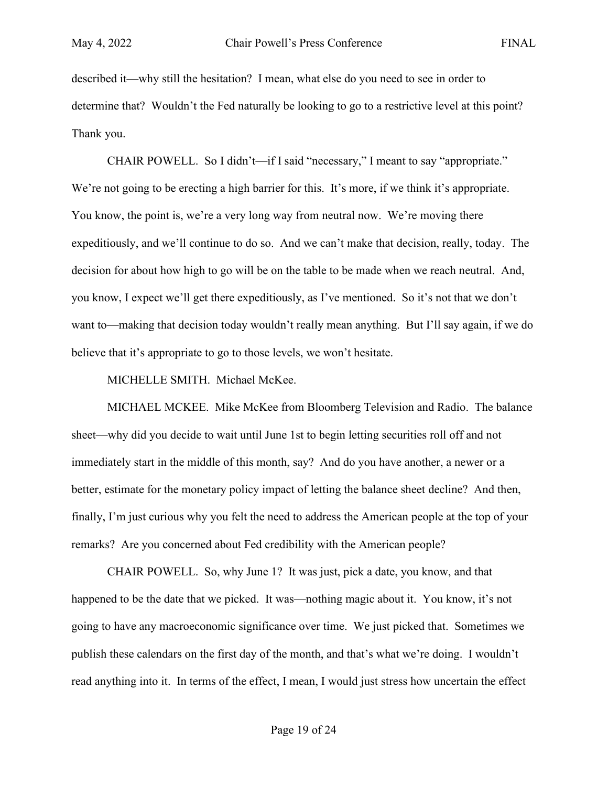described it—why still the hesitation? I mean, what else do you need to see in order to determine that? Wouldn't the Fed naturally be looking to go to a restrictive level at this point? Thank you.

CHAIR POWELL. So I didn't—if I said "necessary," I meant to say "appropriate." We're not going to be erecting a high barrier for this. It's more, if we think it's appropriate. You know, the point is, we're a very long way from neutral now. We're moving there expeditiously, and we'll continue to do so. And we can't make that decision, really, today. The decision for about how high to go will be on the table to be made when we reach neutral. And, you know, I expect we'll get there expeditiously, as I've mentioned. So it's not that we don't want to—making that decision today wouldn't really mean anything. But I'll say again, if we do believe that it's appropriate to go to those levels, we won't hesitate.

MICHELLE SMITH. Michael McKee.

MICHAEL MCKEE. Mike McKee from Bloomberg Television and Radio. The balance sheet—why did you decide to wait until June 1st to begin letting securities roll off and not immediately start in the middle of this month, say? And do you have another, a newer or a better, estimate for the monetary policy impact of letting the balance sheet decline? And then, finally, I'm just curious why you felt the need to address the American people at the top of your remarks? Are you concerned about Fed credibility with the American people?

CHAIR POWELL. So, why June 1? It was just, pick a date, you know, and that happened to be the date that we picked. It was—nothing magic about it. You know, it's not going to have any macroeconomic significance over time. We just picked that. Sometimes we publish these calendars on the first day of the month, and that's what we're doing. I wouldn't read anything into it. In terms of the effect, I mean, I would just stress how uncertain the effect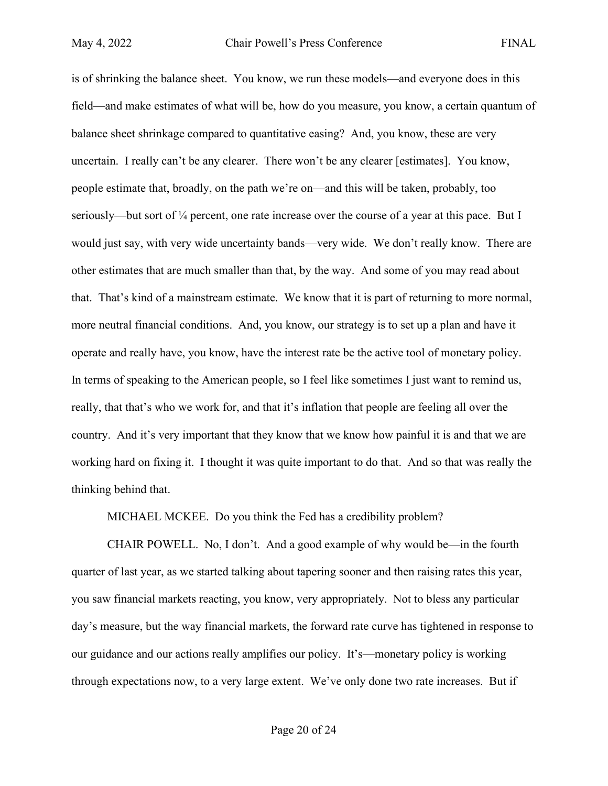is of shrinking the balance sheet. You know, we run these models—and everyone does in this field—and make estimates of what will be, how do you measure, you know, a certain quantum of balance sheet shrinkage compared to quantitative easing? And, you know, these are very uncertain. I really can't be any clearer. There won't be any clearer [estimates]. You know, people estimate that, broadly, on the path we're on—and this will be taken, probably, too seriously—but sort of ¼ percent, one rate increase over the course of a year at this pace. But I would just say, with very wide uncertainty bands—very wide. We don't really know. There are other estimates that are much smaller than that, by the way. And some of you may read about that. That's kind of a mainstream estimate. We know that it is part of returning to more normal, more neutral financial conditions. And, you know, our strategy is to set up a plan and have it operate and really have, you know, have the interest rate be the active tool of monetary policy. In terms of speaking to the American people, so I feel like sometimes I just want to remind us, really, that that's who we work for, and that it's inflation that people are feeling all over the country. And it's very important that they know that we know how painful it is and that we are working hard on fixing it. I thought it was quite important to do that. And so that was really the thinking behind that.

MICHAEL MCKEE. Do you think the Fed has a credibility problem?

CHAIR POWELL. No, I don't. And a good example of why would be—in the fourth quarter of last year, as we started talking about tapering sooner and then raising rates this year, you saw financial markets reacting, you know, very appropriately. Not to bless any particular day's measure, but the way financial markets, the forward rate curve has tightened in response to our guidance and our actions really amplifies our policy. It's—monetary policy is working through expectations now, to a very large extent. We've only done two rate increases. But if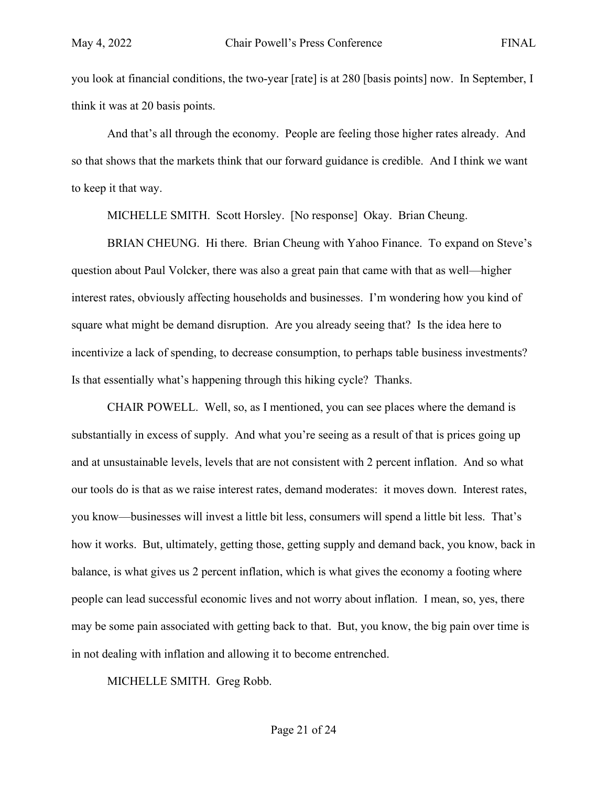you look at financial conditions, the two-year [rate] is at 280 [basis points] now. In September, I think it was at 20 basis points.

And that's all through the economy. People are feeling those higher rates already. And so that shows that the markets think that our forward guidance is credible. And I think we want to keep it that way.

MICHELLE SMITH. Scott Horsley. [No response] Okay. Brian Cheung.

BRIAN CHEUNG. Hi there. Brian Cheung with Yahoo Finance. To expand on Steve's question about Paul Volcker, there was also a great pain that came with that as well—higher interest rates, obviously affecting households and businesses. I'm wondering how you kind of square what might be demand disruption. Are you already seeing that? Is the idea here to incentivize a lack of spending, to decrease consumption, to perhaps table business investments? Is that essentially what's happening through this hiking cycle? Thanks.

CHAIR POWELL. Well, so, as I mentioned, you can see places where the demand is substantially in excess of supply. And what you're seeing as a result of that is prices going up and at unsustainable levels, levels that are not consistent with 2 percent inflation. And so what our tools do is that as we raise interest rates, demand moderates: it moves down. Interest rates, you know—businesses will invest a little bit less, consumers will spend a little bit less. That's how it works. But, ultimately, getting those, getting supply and demand back, you know, back in balance, is what gives us 2 percent inflation, which is what gives the economy a footing where people can lead successful economic lives and not worry about inflation. I mean, so, yes, there may be some pain associated with getting back to that. But, you know, the big pain over time is in not dealing with inflation and allowing it to become entrenched.

MICHELLE SMITH. Greg Robb.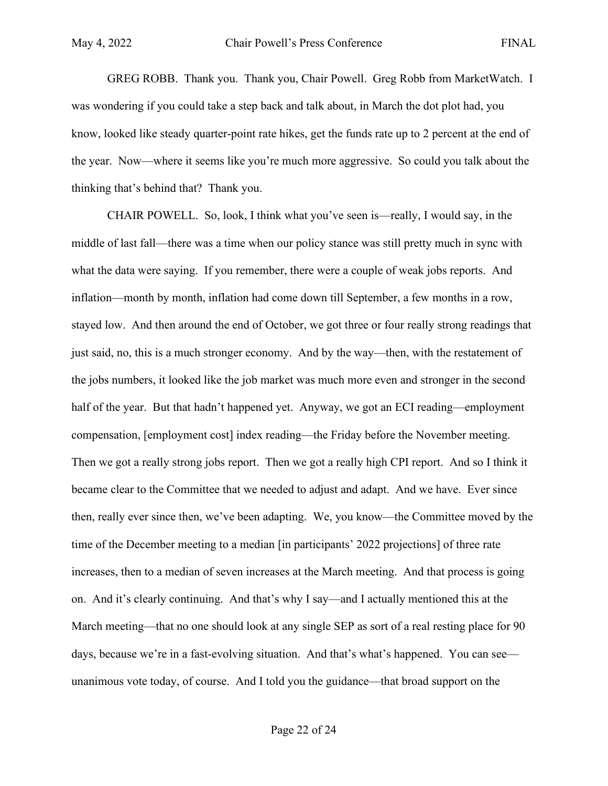GREG ROBB. Thank you. Thank you, Chair Powell. Greg Robb from MarketWatch. I was wondering if you could take a step back and talk about, in March the dot plot had, you know, looked like steady quarter-point rate hikes, get the funds rate up to 2 percent at the end of the year. Now—where it seems like you're much more aggressive. So could you talk about the thinking that's behind that? Thank you.

CHAIR POWELL. So, look, I think what you've seen is—really, I would say, in the middle of last fall—there was a time when our policy stance was still pretty much in sync with what the data were saying. If you remember, there were a couple of weak jobs reports. And inflation—month by month, inflation had come down till September, a few months in a row, stayed low. And then around the end of October, we got three or four really strong readings that just said, no, this is a much stronger economy. And by the way—then, with the restatement of the jobs numbers, it looked like the job market was much more even and stronger in the second half of the year. But that hadn't happened yet. Anyway, we got an ECI reading—employment compensation, [employment cost] index reading—the Friday before the November meeting. Then we got a really strong jobs report. Then we got a really high CPI report. And so I think it became clear to the Committee that we needed to adjust and adapt. And we have. Ever since then, really ever since then, we've been adapting. We, you know—the Committee moved by the time of the December meeting to a median [in participants' 2022 projections] of three rate increases, then to a median of seven increases at the March meeting. And that process is going on. And it's clearly continuing. And that's why I say—and I actually mentioned this at the March meeting—that no one should look at any single SEP as sort of a real resting place for 90 days, because we're in a fast-evolving situation. And that's what's happened. You can see unanimous vote today, of course. And I told you the guidance—that broad support on the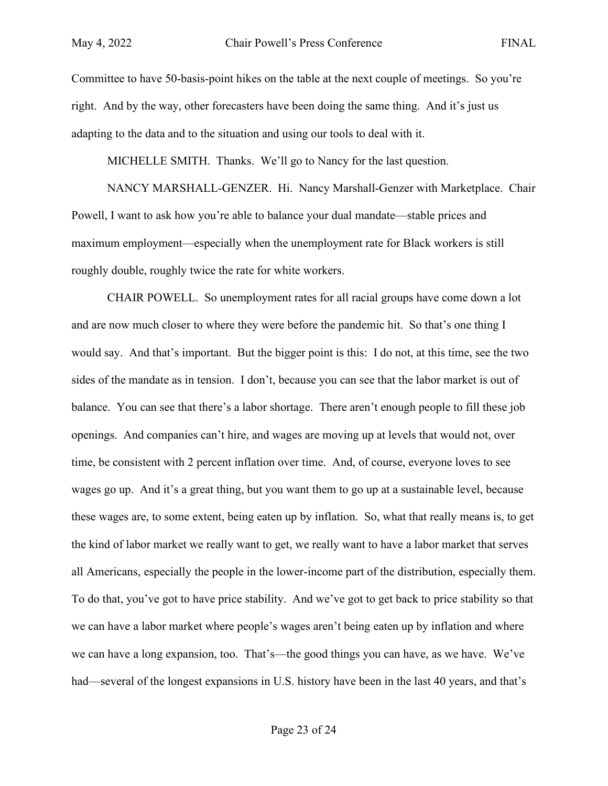Committee to have 50-basis-point hikes on the table at the next couple of meetings. So you're right. And by the way, other forecasters have been doing the same thing. And it's just us adapting to the data and to the situation and using our tools to deal with it.

MICHELLE SMITH. Thanks. We'll go to Nancy for the last question.

NANCY MARSHALL-GENZER. Hi. Nancy Marshall-Genzer with Marketplace. Chair Powell, I want to ask how you're able to balance your dual mandate—stable prices and maximum employment—especially when the unemployment rate for Black workers is still roughly double, roughly twice the rate for white workers.

CHAIR POWELL. So unemployment rates for all racial groups have come down a lot and are now much closer to where they were before the pandemic hit. So that's one thing I would say. And that's important. But the bigger point is this: I do not, at this time, see the two sides of the mandate as in tension. I don't, because you can see that the labor market is out of balance. You can see that there's a labor shortage. There aren't enough people to fill these job openings. And companies can't hire, and wages are moving up at levels that would not, over time, be consistent with 2 percent inflation over time. And, of course, everyone loves to see wages go up. And it's a great thing, but you want them to go up at a sustainable level, because these wages are, to some extent, being eaten up by inflation. So, what that really means is, to get the kind of labor market we really want to get, we really want to have a labor market that serves all Americans, especially the people in the lower-income part of the distribution, especially them. To do that, you've got to have price stability. And we've got to get back to price stability so that we can have a labor market where people's wages aren't being eaten up by inflation and where we can have a long expansion, too. That's—the good things you can have, as we have. We've had—several of the longest expansions in U.S. history have been in the last 40 years, and that's